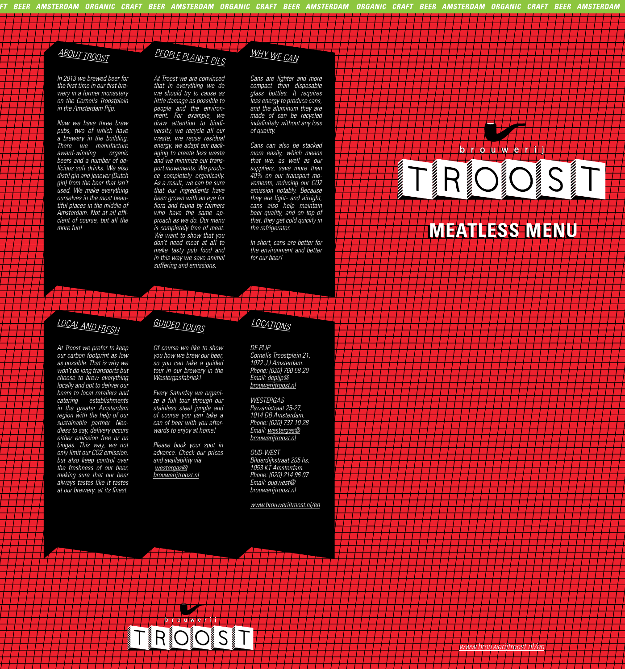## *ABOUT TROOST*

*In 2013 we brewed beer for*  the first time in our first bre*wery in a former monastery on the Cornelis Troostplein in the Amsterdam Pijp.*

*Now we have three brew pubs, two of which have a brewery in the building. There we manufacture award-winning organic beers and a number of delicious soft drinks. We also distil gin and jenever (Dutch gin) from the beer that isn't used. We make everything ourselves in the most beautiful places in the middle of*  Amsterdam. Not at all effi*cient of course, but all the more fun!*

#### *PEOPLE PLANET PILS WHY WE CAN*

*At Troost we are convinced that in everything we do we should try to cause as little damage as possible to people and the environment. For example, we draw attention to biodiversity, we recycle all our waste, we reuse residual energy, we adapt our packaging to create less waste and we minimize our transport movements. We produce completely organically. As a result, we can be sure that our ingredients have been grown with an eye for*  flora and fauna by farmers *who have the same approach as we do. Our menu is completely free of meat. We want to show that you don't need meat at all to make tasty pub food and in this way we save animal suffering and emissions.*

*Cans are lighter and more compact than disposable glass bottles. It requires less energy to produce cans, and the aluminum they are made of can be recycled*  indefinitely without any loss *of quality.* 

*Cans can also be stacked more easily, which means that we, as well as our suppliers, save more than 40% on our transport movements, reducing our CO2 emission notably. Because they are light- and airtight, cans also help maintain beer quality, and on top of that, they get cold quickly in the refrigerator.* 

*In short, cans are better for the environment and better for our beer!*

### RI JS **DEC**

*<u>Property Separate</u>* 

brouwerij

**ANDREWS** 

## **MEATLESS MENU MEATLESS MENU**

## *LOCAL AND FRESH*

*At Troost we prefer to keep our carbon footprint as low as possible. That is why we won't do long transports but choose to brew everything locally and opt to deliver our beers to local retailers and catering establishments in the greater Amsterdam region with the help of our sustainable partner. Needless to say, delivery occurs either emission free or on biogas. This way, we not only limit our CO2 emission, but also keep control over the freshness of our beer, making sure that our beer always tastes like it tastes*  at our brewery: at its finest.

*Of course we like to show you how we brew our beer, so you can take a guided tour in our brewery in the Westergasfabriek!* 

*GUIDED TOURS*

*Every Saturday we organize a full tour through our stainless steel jungle and of course you can take a can of beer with you afterwards to enjoy at home!*

*Please book your spot in advance. Check our prices and availability via westergas@ brouwerijtroost.nl*

*DE PIJP Cornelis Troostplein 21, 1072 JJ Amsterdam. Phone: (020) 760 58 20 Email: depijp@ brouwerijtroost.nl*

*LOCATIONS*

*WESTERGAS Pazzanistraat 25-27, 1014 DB Amsterdam. Phone: (020) 737 10 28 Email: westergas@ brouwerijtroost.nl*

*OUD-WEST Bilderdijkstraat 205 hs, 1053 KT Amsterdam. Phone: (020) 214 96 07 Email: oudwest@ brouwerijtroost.nl*

*www.brouwerijtroost.nl/en*

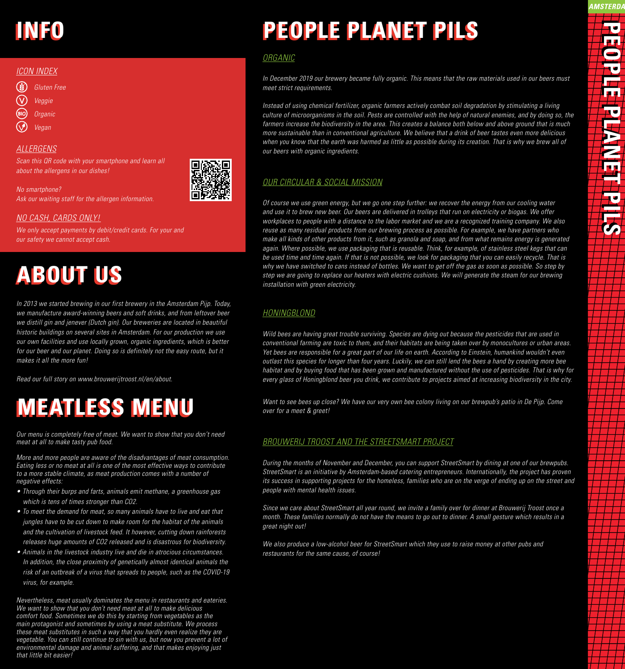## **INFO INFO**

#### *ICON INDEX*

- $\left( \frac{1}{2} \right)$ *Gluten Free*
- $\widehat{\text{V}}$ *Veggie*
- *Organic*
- *Vegan*

#### *ALLERGENS*

*Scan this QR code with your smartphone and learn all about the allergens in our dishes!* 



*No smartphone? Ask our waiting staff for the allergen information.*

#### *NO CASH, CARDS ONLY!*

*We only accept payments by debit/credit cards. For your and our safety we cannot accept cash.*

## **ABOUT US ABOUT US**

*In 2013 we started brewing in our first brewery in the Amsterdam Pijp. Today, we manufacture award-winning beers and soft drinks, and from leftover beer we distill gin and jenever (Dutch gin). Our breweries are located in beautiful historic buildings on several sites in Amsterdam. For our production we use our own facilities and use locally grown, organic ingredients, which is better*  for our beer and our planet. Doing so is definitely not the easy route, but it *makes it all the more fun!* 

*Read our full story on www.brouwerijtroost.nl/en/about.*

## **MEATLESS MENU MEATLESS MENU**

*Our menu is completely free of meat. We want to show that you don't need meat at all to make tasty pub food.*

*More and more people are aware of the disadvantages of meat consumption. Eating less or no meat at all is one of the most effective ways to contribute to a more stable climate, as meat production comes with a number of negative effects:*

- *Through their burps and farts, animals emit methane, a greenhouse gas which is tens of times stronger than CO2.*
- *To meet the demand for meat, so many animals have to live and eat that jungles have to be cut down to make room for the habitat of the animals and the cultivation of livestock feed. It however, cutting down rainforests releases huge amounts of CO2 released and is disastrous for biodiversity.*
- *Animals in the livestock industry live and die in atrocious circumstances. In addition, the close proximity of genetically almost identical animals the risk of an outbreak of a virus that spreads to people, such as the COVID-19 virus, for example.*

*Nevertheless, meat usually dominates the menu in restaurants and eateries. We want to show that you don't need meat at all to make delicious comfort food. Sometimes we do this by starting from vegetables as the main protagonist and sometimes by using a meat substitute. We process these meat substitutes in such a way that you hardly even realize they are vegetable. You can still continue to sin with us, but now you prevent a lot of environmental damage and animal suffering, and that makes enjoying just that little bit easier!*

# **PEOPLE PLANET PILS PEOPLE PLANET PILS**

#### *ORGANIC*

*In December 2019 our brewery became fully organic. This means that the raw materials used in our beers must meet strict requirements.* 

*Instead of using chemical fertilizer, organic farmers actively combat soil degradation by stimulating a living culture of microorganisms in the soil. Pests are controlled with the help of natural enemies, and by doing so, the farmers increase the biodiversity in the area. This creates a balance both below and above ground that is much more sustainable than in conventional agriculture. We believe that a drink of beer tastes even more delicious when you know that the earth was harmed as little as possible during its creation. That is why we brew all of our beers with organic ingredients.*

#### *OUR CIRCULAR & SOCIAL MISSION*

*Of course we use green energy, but we go one step further: we recover the energy from our cooling water and use it to brew new beer. Our beers are delivered in trolleys that run on electricity or biogas. We offer workplaces to people with a distance to the labor market and we are a recognized training company. We also reuse as many residual products from our brewing process as possible. For example, we have partners who make all kinds of other products from it, such as granola and soap, and from what remains energy is generated again. Where possible, we use packaging that is reusable. Think, for example, of stainless steel kegs that can be used time and time again. If that is not possible, we look for packaging that you can easily recycle. That is why we have switched to cans instead of bottles. We want to get off the gas as soon as possible. So step by step we are going to replace our heaters with electric cushions. We will generate the steam for our brewing installation with green electricity.*

#### *HONINGBLOND*

*Wild bees are having great trouble surviving. Species are dying out because the pesticides that are used in conventional farming are toxic to them, and their habitats are being taken over by monocultures or urban areas. Yet bees are responsible for a great part of our life on earth. According to Einstein, humankind wouldn't even outlast this species for longer than four years. Luckily, we can still lend the bees a hand by creating more bee habitat and by buying food that has been grown and manufactured without the use of pesticides. That is why for every glass of Honingblond beer you drink, we contribute to projects aimed at increasing biodiversity in the city.* 

*Want to see bees up close? We have our very own bee colony living on our brewpub's patio in De Pijp. Come over for a meet & greet!*

#### *BROUWERIJ TROOST AND THE STREETSMART PROJECT*

*During the months of November and December, you can support StreetSmart by dining at one of our brewpubs. StreetSmart is an initiative by Amsterdam-based catering entrepreneurs. Internationally, the project has proven its success in supporting projects for the homeless, families who are on the verge of ending up on the street and people with mental health issues.*

*Since we care about StreetSmart all year round, we invite a family over for dinner at Brouwerij Troost once a month. These families normally do not have the means to go out to dinner. A small gesture which results in a great night out!* 

*We also produce a low-alcohol beer for StreetSmart which they use to raise money at other pubs and restaurants for the same cause, of course!*

AMSTERDA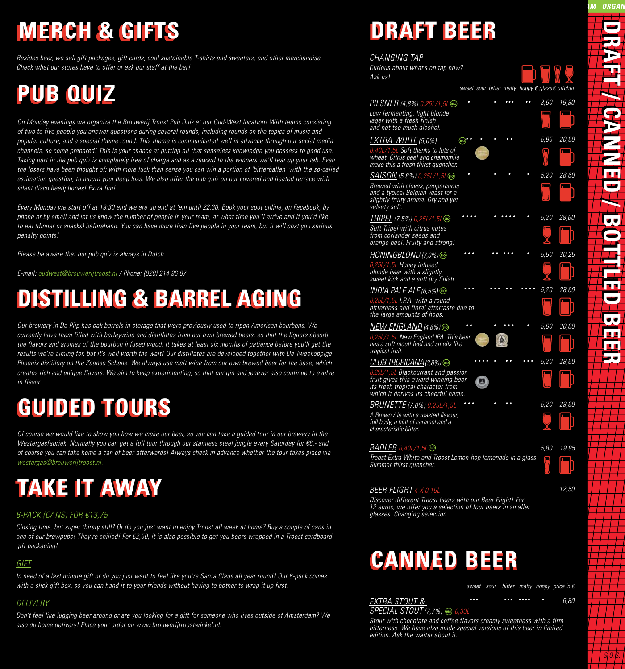## **MERCH & GIFTS MERCH & GIFTS**

*Besides beer, we sell gift packages, gift cards, cool sustainable T-shirts and sweaters, and other merchandise. Check what our stores have to offer or ask our staff at the bar!*

## **PUB QUIZ PUB QUIZ**

*On Monday evenings we organize the Brouwerij Troost Pub Quiz at our Oud-West location! With teams consisting of two to five people you answer questions during several rounds, including rounds on the topics of music and popular culture, and a special theme round. This theme is communicated well in advance through our social media channels, so come prepared! This is your chance at putting all that senseless knowledge you possess to good use. Taking part in the pub quiz is completely free of charge and as a reward to the winners we'll tear up your tab. Even the losers have been thought of: with more luck than sense you can win a portion of 'bitterballen' with the so-called estimation question, to mourn your deep loss. We also offer the pub quiz on our covered and heated terrace with silent disco headphones! Extra fun!*

*Every Monday we start off at 19:30 and we are up and at 'em until 22:30. Book your spot online, on Facebook, by phone or by email and let us know the number of people in your team, at what time you'll arrive and if you'd like to eat (dinner or snacks) beforehand. You can have more than five people in your team, but it will cost you serious penalty points!*

*Please be aware that our pub quiz is always in Dutch.*

*E-mail: oudwest@brouwerijtroost.nl / Phone: (020) 214 96 07*

## **DISTILLING & BARREL AGING DISTILLING & BARREL AGING**

*Our brewery in De Pijp has oak barrels in storage that were previously used to ripen American bourbons. We currently have them filled with barleywine and distillates from our own brewed beers, so that the liquors absorb the flavors and aromas of the bourbon infused wood. It takes at least six months of patience before you'll get the results we're aiming for, but it's well worth the wait! Our distillates are developed together with De Tweekoppige Phoenix distillery on the Zaanse Schans. We always use malt wine from our own brewed beer for the base, which creates rich and unique flavors. We aim to keep experimenting, so that our gin and jenever also continue to evolve in flavor.*

## **GUIDED TOURS GUIDED TOURS**

*Of course we would like to show you how we make our beer, so you can take a guided tour in our brewery in the Westergasfabriek. Normally you can get a full tour through our stainless steel jungle every Saturday for €8,- and of course you can take home a can of beer afterwards! Always check in advance whether the tour takes place via westergas@brouwerijtroost.nl.*

## **TAKE IT AWAY TAKE IT AWAY**

#### *6-PACK (CANS) FOR €13,75*

*Closing time, but super thirsty still? Or do you just want to enjoy Troost all week at home? Buy a couple of cans in one of our brewpubs! They're chilled! For €2,50, it is also possible to get you beers wrapped in a Troost cardboard gift packaging!*

#### *GIFT*

*In need of a last minute gift or do you just want to feel like you're Santa Claus all year round? Our 6-pack comes with a slick gift box, so you can hand it to your friends without having to bother to wrap it up first.*

#### *DELIVERY*

*Don't feel like lugging beer around or are you looking for a gift for someone who lives outside of Amsterdam? We also do home delivery! Place your order on www.brouwerijtroostwinkel.nl.*

## **DRAFT BEER DRAFT BEER**

#### *CHANGING TAP*

| <u>UHANUINU IAP</u><br>Curious about what's on tap now?<br>Ask us!                                                                                       |       |  |  |           |                                                 |
|----------------------------------------------------------------------------------------------------------------------------------------------------------|-------|--|--|-----------|-------------------------------------------------|
|                                                                                                                                                          |       |  |  |           | sweet sour bitter malty hoppy € glass € pitcher |
| <u>PIL SNER</u> (4,8%) 0,25L/1,5L  ®<br>Low fermenting, light blonde<br>lager with a fresh finish<br>and not too much alcohol.                           |       |  |  | 3,60      | 19,80                                           |
| <u>EXTRA WHITE</u> (5,0%)<br>0,40L/1,5L Soft thanks to lots of<br>wheat. Citrus peel and chamomile<br>make this a fresh thirst quencher.                 | (BIO) |  |  | 5,95<br>п | 20,50                                           |
| SAISON (5,8%) 0,25L/1,5L®<br>Brewed with cloves, peppercorns<br>and a typical Belgian yeast for a<br>slightly fruity aroma. Dry and yet<br>velvety soft. |       |  |  | 5,20      | 28,60                                           |
| <u> TRIPEL</u> (7,5%) 0,25L/1,5Lම<br>Soft Tripel with citrus notes<br>from coriander seeds and<br>orange peel. Fruity and strong!                        |       |  |  | 5,20      | 28,60                                           |
| 0,25L/1,5L Honey infused<br>blonde beer with a slightly                                                                                                  |       |  |  | 5,50      | 30,25                                           |
| sweet kick and a soft dry finish.                                                                                                                        |       |  |  | 5,20      |                                                 |
| $0,25L/1,5L$ I.P.A. with a round<br>bitterness and floral aftertaste due to<br>the large amounts of hops.                                                |       |  |  |           | 28,60                                           |
|                                                                                                                                                          |       |  |  | 5,60      | 30,80                                           |
| 0,25L/1,5L New England IPA. This beer<br>has a soft mouthfeel and smells like<br>tropical fruit.                                                         |       |  |  |           |                                                 |
| CLUB TROPICANA $(3,8\%)$                                                                                                                                 |       |  |  | 5,20      | 28,60                                           |
| 0,25L/1,5L Blackcurrant and passion<br>fruit gives this award winning beer<br>its fresh tropical character from<br>which it derives its cheerful name.   |       |  |  |           |                                                 |
| BRUNETTE (7,0%) 0,25L/1,5L<br>A Brown Ale with a roasted flavour,<br>full body, a hint of caramel and a<br>characteristic bitter.                        |       |  |  | 5,20      | 28,60                                           |
| $RADLER$ 0,40L/1,5L $\circledast$<br>Troost Extra White and Troost Lemon-hop lemonade in a glass.<br>Summer thirst quencher.                             |       |  |  | 5,80      | 19,95                                           |
| <b>BEER FLIGHT 4 X 0.15L</b>                                                                                                                             |       |  |  |           | 12,50                                           |

#### *BEER FLIGHT 4 X 0,15L*

*S.O.S.*

**DRAFT / CANNED / BOTTLED BEER DRAFT / CANNED / BOTTLED BEER**

**TENERHED** 

 $\bullet$ ī. L.

M ORGAN

*Discover different Troost beers with our Beer Flight! For 12 euros, we offer you a selection of four beers in smaller glasses. Changing selection.* 

## **CANNAD BEER CANNED BEER**

*sour bitter malty hoppy price in € sweet*

*EXTRA STOUT & SPECIAL STOUT (7,7%)* **◎** 0,3 *6,80 ••• ••• •••• •*

*Stout with chocolate and coffee flavors creamy sweetness with a firm bitterness. We have also made special versions of this beer in limited edition. Ask the waiter about it.*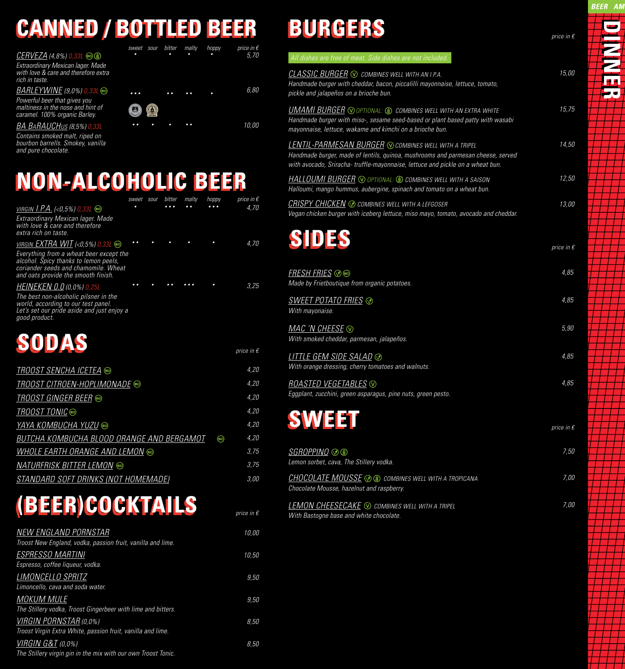## **CANNED / BOTTLED BEER CANNED / BOTTLED BEER**

*5,70 • • • • sweet sour bitter malty hoppy CERVEZA (4,8%) 0,33L Extraordinary Mexican lager. Made with love & care and therefore extra rich in taste. BARLEYWINE (9,0%) 0,33L 6,80 • • • • • • • • Powerful beer that gives you*   $\boldsymbol{\Theta}$  $\odot$ *maltiness in the nose and hint of caramel. 100% organic Barley. BA BaRAUCHus (8,5%) 0,33L 10,00 • • • • • •*

*Contains smoked malt, riped on bourbon barrells. Smokey, vanilla and pure chocolate.*

## **NON-ALCOHOLIC BEER NON-ALCOHOLIC BEER**

|                                                                                  | sweet sour | bitter | malty | hoppy          | price in $\epsilon$ |
|----------------------------------------------------------------------------------|------------|--------|-------|----------------|---------------------|
| <u>VIRGIN 1.P.A.</u> (<0,5%) 0, <i>33L</i> ®                                     |            | .      |       |                | 4.70                |
| Extraordinary Mexican lager. Made<br>with love & care and therefore              |            |        |       |                |                     |
| extra rich on taste.                                                             |            |        |       |                |                     |
| <u>VIRGIN EXTRA WIT</u> (<0,5%) 0,33L ®                                          |            |        |       |                | 4,70                |
| Everything from a wheat beer except the<br>alcohol. Spicy thanks to lemon peels, |            |        |       |                |                     |
| coriander seeds and chamomile. Wheat                                             |            |        |       |                |                     |
| and oats provide the smooth finish.                                              |            |        |       |                | 3,25                |
| <b>HEINEKEN 0.0 (0,0%) 0,25L</b><br>The best non-alcoholic pilsner in the        |            |        |       |                |                     |
| world, according to our test panel.                                              |            |        |       |                |                     |
| Let's set our pride aside and just enjoy a<br>good product.                      |            |        |       |                |                     |
|                                                                                  |            |        |       |                |                     |
| SUDAS                                                                            |            |        |       |                |                     |
|                                                                                  |            |        |       |                | price in $\epsilon$ |
| <i>TROOST SENCHA ICETEA</i> ®                                                    |            |        |       |                | 4,20                |
|                                                                                  |            |        |       |                |                     |
|                                                                                  |            |        |       |                | 4,20                |
| <i>TROOST GINGER BEER</i> ®                                                      |            |        |       |                | 4,20                |
| <i>TROOST TONIC</i> ®                                                            |            |        |       |                | 4,20                |
| YAYA KOMBUCHA YUZU ®                                                             |            |        |       |                | 4,20                |
| <u>BUTCHA KOMBUCHA BLOOD ORANGE AND BERGAMOT</u>                                 |            |        |       | $\binom{5}{0}$ | 4,20                |
| <u>WHOLE EARTH ORANGE AND LEMON</u>                                              |            |        |       |                | 3,75                |
| <u>NATURFRISK BITTER LEMON</u><br>(a)                                            |            |        |       |                | 3,75                |

## *STANDARD SOFT DRINKS (NOT HOMEMADE) 3,00*

## **(BEER)COCKTAILS (BEER)COCKTAILS** *price in €*

| <b>NEW ENGLAND PORNSTAR</b>                                   | 10,00 |
|---------------------------------------------------------------|-------|
| Troost New England, vodka, passion fruit, vanilla and lime.   |       |
| <b>ESPRESSO MARTINI</b>                                       | 10,50 |
| Espresso, coffee liqueur, vodka.                              |       |
| LIMONCELLO SPRITZ                                             | 9,50  |
| Limoncello, cava and soda water.                              |       |
| MOKUM MULE                                                    | 9,50  |
| The Stillery vodka, Troost Gingerbeer with lime and bitters.  |       |
| VIRGIN PORNSTAR (0,0%)                                        | 8.50  |
| Troost Virgin Extra White, passion fruit, vanilla and lime.   |       |
| <u>VIRGIN G&amp;T</u> (0,0%)                                  | 8,50  |
| The Stillery virgin gin in the mix with our own Troost Tonic. |       |

# **BURGERS BURGERS** *price in €*

| All dishes are free of meat. Side dishes are not included.                                                                                                                                                                          |                     |
|-------------------------------------------------------------------------------------------------------------------------------------------------------------------------------------------------------------------------------------|---------------------|
| $CLASSIC$ BURGER $\odot$ combines well with an i.p.a.<br>Handmade burger with cheddar, bacon, piccalilli mayonnaise, lettuce, tomato,<br>pickle and jalapeños on a brioche bun.                                                     | 15,00               |
| <b>UMAMI BURGER</b> $\odot$ optional: $\circledast$ combines well with an extra white<br>Handmade burger with miso-, sesame seed-based or plant based patty with wasabi<br>mayonnaise, lettuce, wakame and kimchi on a brioche bun. | 15,75               |
| <b>LENTIL-PARMESAN BURGER</b> © COMBINES WELL WITH A TRIPEL<br>Handmade burger, made of lentils, quinoa, mushrooms and parmesan cheese, served<br>with avocado, Sriracha-truffle-mayonnaise, lettuce and pickle on a wheat bun.     | 14,50               |
| <b>HALLOUMI BURGER</b> $\odot$ optional: $\circledast$ combines well with a saison<br>Halloumi, mango hummus, aubergine, spinach and tomato on a wheat bun.                                                                         | 12,50               |
| <b>CRISPY CHICKEN © COMBINES WELL WITH A LEFGOSER</b><br>Vegan chicken burger with iceberg lettuce, miso mayo, tomato, avocado and cheddar.                                                                                         | 13,00               |
| SIDES                                                                                                                                                                                                                               | price in $\epsilon$ |
| $FRESH$ $FRIES$ $\circledcirc$ $\circledcirc$<br>Made by Frietboutique from organic potatoes.                                                                                                                                       | 4,85                |
| <u>SWEET POTATO FRIES</u> $\circledcirc$<br>With mayonaise.                                                                                                                                                                         | 4,85                |
| <u>MAC 'N CHEESE</u> ♡<br>With smoked cheddar, parmesan, jalapeños.                                                                                                                                                                 | 5,90                |
| <u>LITTLE GEM SIDE SALAD</u> ু<br>With orange dressing, cherry tomatoes and walnuts.                                                                                                                                                | 4,85                |
| ROASTED VEGETABLES $\odot$<br>Eggplant, zucchini, green asparagus, pine nuts, green pesto.                                                                                                                                          | 4,85                |
| <b>SWEET</b>                                                                                                                                                                                                                        | price in $\epsilon$ |
| <u>SGROPPINO</u> ⊙ ®<br>Lemon sorbet, cava, The Stillery vodka.                                                                                                                                                                     | 7,50                |
| <b>CHOCOLATE MOUSSE</b> © © COMBINES WELL WITH A TROPICANA<br>Chocolate Mousse, hazelnut and raspberry.                                                                                                                             | 7,00                |
| <b>LEMON CHEESECAKE</b> © COMBINES WELL WITH A TRIPEL<br>With Bastogne base and white chocolate.                                                                                                                                    | 7,00                |
|                                                                                                                                                                                                                                     |                     |
|                                                                                                                                                                                                                                     |                     |
|                                                                                                                                                                                                                                     |                     |

**DINNER DINNER**

**BEER AM**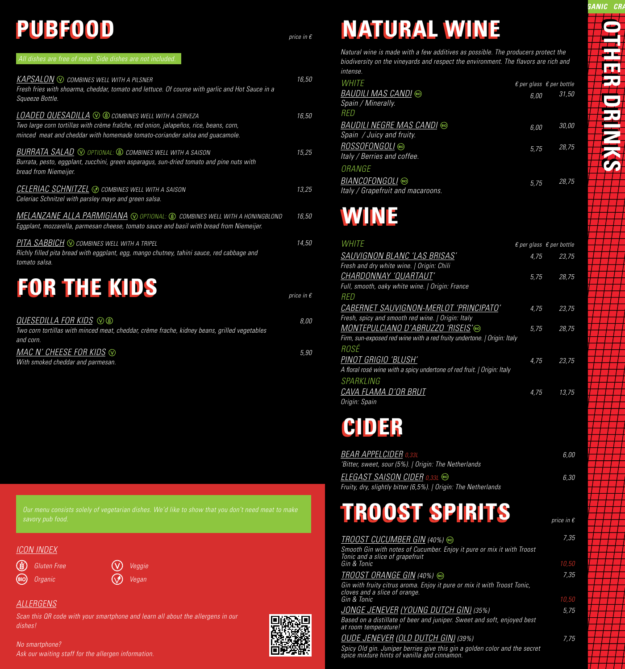## **PUBFOOD PUBFOOD** *price in €*

*5,90*

| <u>KAPSALON</u> $\circledcirc$ combines well with a pilsner                                                                                                                                                                                       | 16,50               |
|---------------------------------------------------------------------------------------------------------------------------------------------------------------------------------------------------------------------------------------------------|---------------------|
| Fresh fries with shoarma, cheddar, tomato and lettuce. Of course with garlic and Hot Sauce in a<br>Squeeze Bottle.                                                                                                                                |                     |
| ${\sf LOADED\; OUESADILLA}\; \otimes\; @$ combines well with a cerveza<br>Two large corn tortillas with crème fraîche, red onion, jalapeños, rice, beans, corn,<br>minced meat and cheddar with homemade tomato-coriander salsa and guacamole.    | 16,50               |
| Burrata, pesto, eggplant, zucchini, green asparagus, sun-dried tomato and pine nuts with<br>bread from Niemeijer.                                                                                                                                 | 15,25               |
| <u>CELERIAC SCHNITZEL</u> ⊙ combines well with a saison<br>Celeriac Schnitzel with parsley mayo and green salsa.                                                                                                                                  | 13,25               |
| $\overline{\mathit{MELANZANE}$ $\overline{\mathit{ALLA}$ $\mathit{PARMIGIANA}\ \odot$ optional: $\circledast\ \circ$ combines well with a honingblond<br>Eggplant, mozzarella, parmesan cheese, tomato sauce and basil with bread from Niemeijer. | 16,50               |
| <u>PITA SABBICH</u> ⊙ combines well with a tripel<br>Richly filled pita bread with eggplant, egg, mango chutney, tahini sauce, red cabbage and<br>tomato salsa.                                                                                   | 14,50               |
| <b>FOR THE KIDS</b>                                                                                                                                                                                                                               | price in $\epsilon$ |
| <i>QUESEDILLA FOR KIDS </i> v ®<br>Two corn tortillas with minced meat, cheddar, crème frache, kidney beans, grilled vegetables<br>and corn.                                                                                                      | 8,00                |

| ana com.                          |  |
|-----------------------------------|--|
| MAC N' CHEESE FOR KIDS $\odot$    |  |
| With smoked cheddar and parmesan. |  |

*Our menu consists solely of vegetarian dishes. We'd like to show that you don't need meat to make* 

#### *ICON INDEX*

(?)  $\circledR$ 

*Gluten Free*  $\qquad \qquad \qquad \qquad \textbf{(V)} \quad \textit{Veggie}$ *Organic* Vegan

#### *ALLERGENS*

*Scan this QR code with your smartphone and learn all about the allergens in our dishes!* 



## **NATURAL WINE NATURAL WINE**

**ANIC CRA OTHER DRINKS OTHER DRINKS Communication** 

*Natural wine is made with a few additives as possible. The producers protect the biodiversity on the vineyards and respect the environment. The flavors are rich and intense.*

| <i>WHITE</i><br><i>BAUDILI MAS CANDI</i> ®<br>Spain / Minerally.<br>RED | 6,00 | $\epsilon$ per glass $\epsilon$ per bottle<br>31.50 |
|-------------------------------------------------------------------------|------|-----------------------------------------------------|
| <i>BAUDILI NEGRE MAS CANDI</i> ®<br>Spain / Juicy and fruity.           | 6.00 | 30.00                                               |
| <i>ROSSOFONGOLI</i> ®<br>Italy / Berries and coffee.                    | 5,75 | 28.75                                               |
| ORANGE                                                                  |      |                                                     |
| Italy / Grapefruit and macaroons.                                       | 5,75 | 28.75                                               |

## **WINE WINE**

| <i>WHITE</i>                                                            | $\epsilon$ per glass $\epsilon$ per bottle |       |
|-------------------------------------------------------------------------|--------------------------------------------|-------|
| SAUVIGNON BLANC 'LAS BRISAS'                                            | 4,75                                       | 23,75 |
| Fresh and dry white wine.   Origin: Chili                               |                                            |       |
| CHARDONNAY 'QUARTAUT'                                                   | 5,75                                       | 28,75 |
| Full, smooth, oaky white wine.   Origin: France                         |                                            |       |
| RED                                                                     |                                            |       |
| CABERNET SAUVIGNON-MERLOT 'PRINCIPATO'                                  | 4,75                                       | 23,75 |
| Fresh, spicy and smooth red wine.   Origin: Italy                       |                                            |       |
| MONTEPULCIANO D'ABRUZZO 'RISEIS'®                                       | 5.75                                       | 28,75 |
| Firm, sun-exposed red wine with a red fruity undertone.   Origin: Italy |                                            |       |
| <i>ROSÉ</i>                                                             |                                            |       |
| PINOT GRIGIO 'BLUSH'                                                    | 4,75                                       | 23,75 |
| A floral rosé wine with a spicy undertone of red fruit.   Origin: Italy |                                            |       |
| SPARKLING                                                               |                                            |       |
| CAVA FLAMA D'OR BRUT                                                    | 4,75                                       | 13.75 |
| Origin: Spain                                                           |                                            |       |

## **CIDER CIDER**

| <b>BEAR APPELCIDER</b> 0,33L                                   | 6.00 |
|----------------------------------------------------------------|------|
| 'Bitter, sweet, sour (5%).   Origin: The Netherlands           |      |
| ELEGAST SAISON CIDER 0,33L ®                                   | 6.30 |
| Fruity, dry, slightly bitter (6,5%).   Origin: The Netherlands |      |

## **TROOST SPIRITS TROOST SPIRITS**

| <i>TROOST CUCUMBER GIN (40%)</i> ®                                                                        | 7.35  |
|-----------------------------------------------------------------------------------------------------------|-------|
| Smooth Gin with notes of Cucumber. Enjoy it pure or mix it with Troost<br>Tonic and a slice of grapefruit |       |
| Gin & Tonic                                                                                               | 10,50 |
| <i>TROOST ORANGE GIN (40%)</i> ®                                                                          | 7.35  |
| Gin with fruity citrus aroma. Enjoy it pure or mix it with Troost Tonic,<br>cloves and a slice of orange. |       |
| Gin & Tonic                                                                                               | 10,50 |
| <u>JONGE JENEVER (YOUNG DUTCH GIN)</u> (35%)                                                              | 5.75  |
| Based on a distillate of beer and juniper. Sweet and soft, enjoyed best<br>at room temperature!           |       |
| OUDE JENEVER (OLD DUTCH GIN) (39%)                                                                        | 7.75  |

*price in €*

*Spicy Old gin. Juniper berries give this gin a golden color and the secret spice mixture hints of vanilla and cinnamon.*

*No smartphone? Ask our waiting staff for the allergen information.*